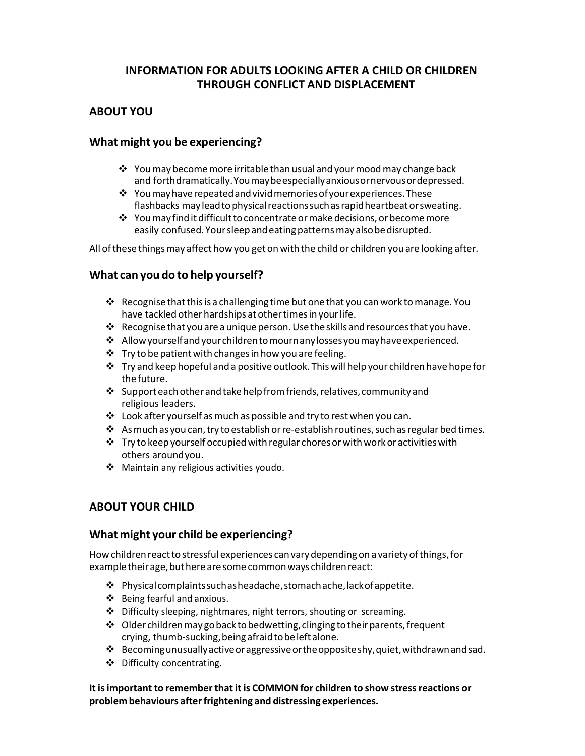# INFORMATION FOR ADULTS LOOKING AFTER A CHILD OR CHILDREN THROUGH CONFLICT AND DISPLACEMENT

## ABOUT YOU

## What might you be experiencing?

- $\hat{P}$  You may become more irritable than usual and your mood may change back and forth dramatically. You may be especially anxious or nervous or depressed.
- $\mathbf{\hat{y}}$  You may have repeated and vivid memories of your experiences. These flashbacks may lead to physical reactions such as rapid heartbeat or sweating.
- $\mathbf{\hat{P}}$  You may find it difficult to concentrate or make decisions, or become more easily confused. Your sleep and eating patterns may also be disrupted.

All of these things may affect how you get on with the child or children you are looking after.

## What can you do to help yourself?

- Recognise that this is a challenging time but one that you can work to manage. You have tackled other hardships at other times in your life.
- $\cdot$  Recognise that you are a unique person. Use the skills and resources that you have.
- Allow yourself and your children to mourn any losses you may have experienced.
- $\cdot$  Try to be patient with changes in how you are feeling.
- $\cdot \cdot$  Try and keep hopeful and a positive outlook. This will help your children have hope for the future.
- $\cdot$  Support each other and take help from friends, relatives, community and religious leaders.
- $\cdot$  Look after yourself as much as possible and try to rest when you can.
- $\clubsuit$  As much as you can, try to establish or re-establish routines, such as regular bed times.
- $\mathbf{\hat{P}}$  Try to keep yourself occupied with regular chores or with work or activities with others around you.
- Maintain any religious activities you do.

# ABOUT YOUR CHILD

## What might your child be experiencing?

How children react to stressful experiences can vary depending on a variety of things, for example their age, but here are some common ways children react:

- $\mathbf{\hat{P}}$  Physical complaints such as headache, stomach ache, lack of appetite.
- Being fearful and anxious.
- Difficulty sleeping, nightmares, night terrors, shouting or screaming.
- Older children may go back to bedwetting, clinging to their parents, frequent crying, thumb-sucking, being afraid to be left alone.
- $\cdot$  Becoming unusually active or aggressive or the opposite shy, quiet, withdrawn and sad.
- Difficulty concentrating.

It is important to remember that it is COMMON for children to show stress reactions or problem behaviours after frightening and distressing experiences.